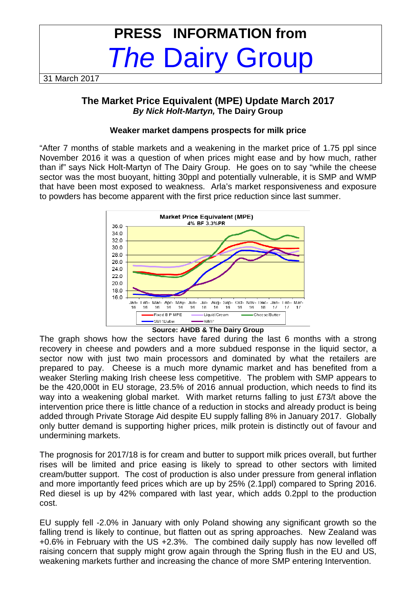# **PRESS INFORMATION from**  The Dairy Group

31 March 2017

# **The Market Price Equivalent (MPE) Update March 2017 By Nick Holt-Martyn, The Dairy Group**

#### **Weaker market dampens prospects for milk price**

"After 7 months of stable markets and a weakening in the market price of 1.75 ppl since November 2016 it was a question of when prices might ease and by how much, rather than if" says Nick Holt-Martyn of The Dairy Group. He goes on to say "while the cheese sector was the most buoyant, hitting 30ppl and potentially vulnerable, it is SMP and WMP that have been most exposed to weakness. Arla's market responsiveness and exposure to powders has become apparent with the first price reduction since last summer.



**Source: AHDB & The Dairy Group** 

The graph shows how the sectors have fared during the last 6 months with a strong recovery in cheese and powders and a more subdued response in the liquid sector, a sector now with just two main processors and dominated by what the retailers are prepared to pay. Cheese is a much more dynamic market and has benefited from a weaker Sterling making Irish cheese less competitive. The problem with SMP appears to be the 420,000t in EU storage, 23.5% of 2016 annual production, which needs to find its way into a weakening global market. With market returns falling to just £73/t above the intervention price there is little chance of a reduction in stocks and already product is being added through Private Storage Aid despite EU supply falling 8% in January 2017. Globally only butter demand is supporting higher prices, milk protein is distinctly out of favour and undermining markets.

The prognosis for 2017/18 is for cream and butter to support milk prices overall, but further rises will be limited and price easing is likely to spread to other sectors with limited cream/butter support. The cost of production is also under pressure from general inflation and more importantly feed prices which are up by 25% (2.1ppl) compared to Spring 2016. Red diesel is up by 42% compared with last year, which adds 0.2ppl to the production cost.

EU supply fell -2.0% in January with only Poland showing any significant growth so the falling trend is likely to continue, but flatten out as spring approaches. New Zealand was +0.6% in February with the US +2.3%. The combined daily supply has now levelled off raising concern that supply might grow again through the Spring flush in the EU and US, weakening markets further and increasing the chance of more SMP entering Intervention.